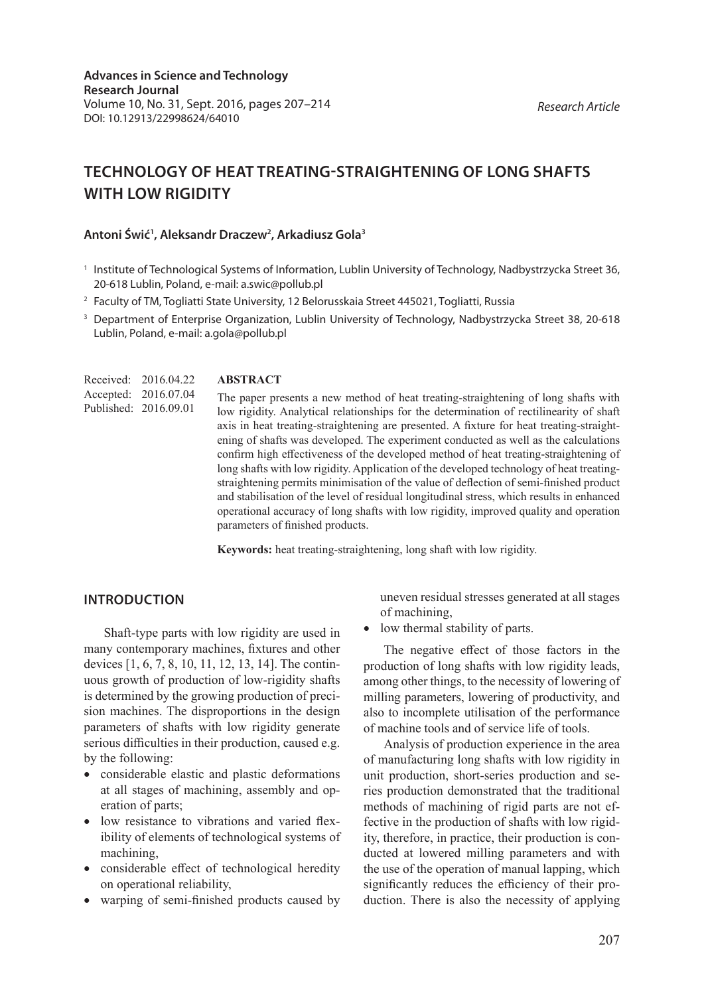*Research Article*

**Advances in Science and Technology Research Journal** Volume 10, No. 31, Sept. 2016, pages 207–214 DOI: 10.12913/22998624/64010

# **TECHNOLOGY OF HEAT TREATING-STRAIGHTENING OF LONG SHAFTS WITH LOW RIGIDITY**

#### **Antoni Świć1 , Aleksandr Draczew2 , Arkadiusz Gola3**

- <sup>1</sup> Institute of Technological Systems of Information, Lublin University of Technology, Nadbystrzycka Street 36, 20-618 Lublin, Poland, e-mail: a.swic@pollub.pl
- <sup>2</sup> Faculty of TM, Togliatti State University, 12 Belorusskaia Street 445021, Togliatti, Russia
- <sup>3</sup> Department of Enterprise Organization, Lublin University of Technology, Nadbystrzycka Street 38, 20-618 Lublin, Poland, e-mail: a.gola@pollub.pl
- **ABSTRACT** The paper presents a new method of heat treating-straightening of long shafts with low rigidity. Analytical relationships for the determination of rectilinearity of shaft axis in heat treating-straightening are presented. A fixture for heat treating-straightening of shafts was developed. The experiment conducted as well as the calculations confirm high effectiveness of the developed method of heat treating-straightening of long shafts with low rigidity. Application of the developed technology of heat treatingstraightening permits minimisation of the value of deflection of semi-finished product and stabilisation of the level of residual longitudinal stress, which results in enhanced operational accuracy of long shafts with low rigidity, improved quality and operation parameters of finished products. Received: 2016.04.22 Accepted: 2016.07.04 Published: 2016.09.01

**Keywords:** heat treating-straightening, long shaft with low rigidity.

#### **INTRODUCTION**

Shaft-type parts with low rigidity are used in many contemporary machines, fixtures and other devices [1, 6, 7, 8, 10, 11, 12, 13, 14]. The continuous growth of production of low-rigidity shafts is determined by the growing production of precision machines. The disproportions in the design parameters of shafts with low rigidity generate serious difficulties in their production, caused e.g. by the following:

- considerable elastic and plastic deformations at all stages of machining, assembly and operation of parts;
- low resistance to vibrations and varied flexibility of elements of technological systems of machining,
- considerable effect of technological heredity on operational reliability,
- warping of semi-finished products caused by

uneven residual stresses generated at all stages of machining,

• low thermal stability of parts.

The negative effect of those factors in the production of long shafts with low rigidity leads, among other things, to the necessity of lowering of milling parameters, lowering of productivity, and also to incomplete utilisation of the performance of machine tools and of service life of tools.

Analysis of production experience in the area of manufacturing long shafts with low rigidity in unit production, short-series production and series production demonstrated that the traditional methods of machining of rigid parts are not effective in the production of shafts with low rigidity, therefore, in practice, their production is conducted at lowered milling parameters and with the use of the operation of manual lapping, which significantly reduces the efficiency of their production. There is also the necessity of applying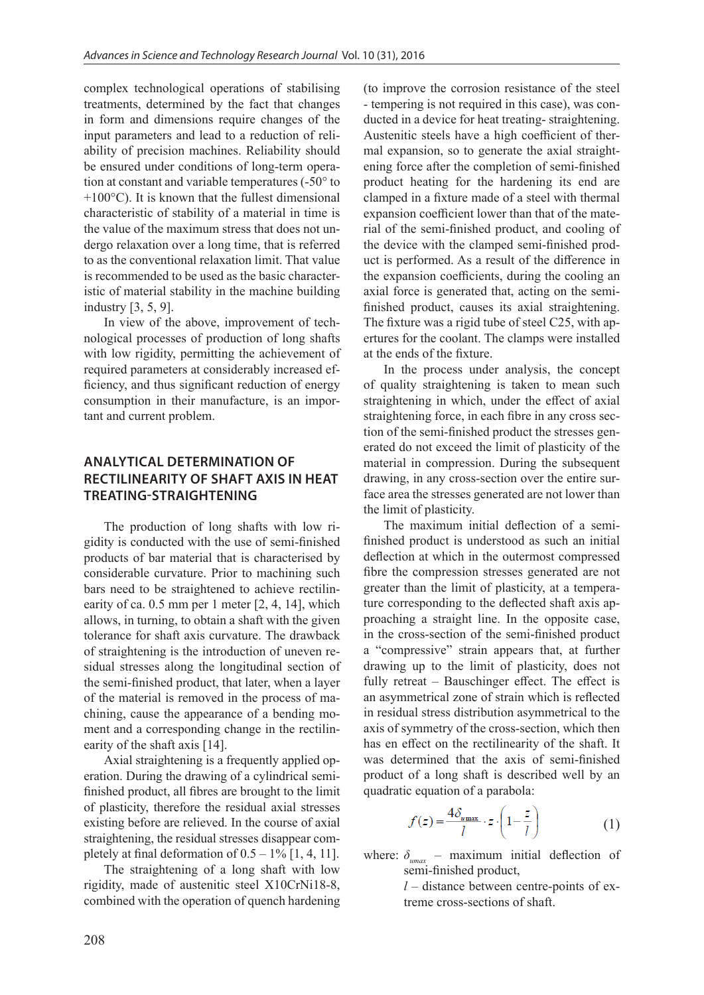complex technological operations of stabilising treatments, determined by the fact that changes in form and dimensions require changes of the input parameters and lead to a reduction of reliability of precision machines. Reliability should be ensured under conditions of long-term operation at constant and variable temperatures (-50° to  $+100\degree C$ ). It is known that the fullest dimensional characteristic of stability of a material in time is the value of the maximum stress that does not undergo relaxation over a long time, that is referred to as the conventional relaxation limit. That value is recommended to be used as the basic characteristic of material stability in the machine building industry [3, 5, 9].

In view of the above, improvement of technological processes of production of long shafts with low rigidity, permitting the achievement of required parameters at considerably increased efficiency, and thus significant reduction of energy consumption in their manufacture, is an important and current problem.

# **ANALYTICAL DETERMINATION OF RECTILINEARITY OF SHAFT AXIS IN HEAT TREATING-STRAIGHTENING**

The production of long shafts with low rigidity is conducted with the use of semi-finished products of bar material that is characterised by considerable curvature. Prior to machining such bars need to be straightened to achieve rectilinearity of ca. 0.5 mm per 1 meter [2, 4, 14], which allows, in turning, to obtain a shaft with the given tolerance for shaft axis curvature. The drawback of straightening is the introduction of uneven residual stresses along the longitudinal section of the semi-finished product, that later, when a layer of the material is removed in the process of machining, cause the appearance of a bending moment and a corresponding change in the rectilinearity of the shaft axis [14].

Axial straightening is a frequently applied operation. During the drawing of a cylindrical semifinished product, all fibres are brought to the limit of plasticity, therefore the residual axial stresses existing before are relieved. In the course of axial straightening, the residual stresses disappear completely at final deformation of  $0.5 - 1\%$  [1, 4, 11].

The straightening of a long shaft with low rigidity, made of austenitic steel X10CrNi18-8, combined with the operation of quench hardening (to improve the corrosion resistance of the steel - tempering is not required in this case), was conducted in a device for heat treating- straightening. Austenitic steels have a high coefficient of thermal expansion, so to generate the axial straightening force after the completion of semi-finished product heating for the hardening its end are clamped in a fixture made of a steel with thermal expansion coefficient lower than that of the material of the semi-finished product, and cooling of the device with the clamped semi-finished product is performed. As a result of the difference in the expansion coefficients, during the cooling an axial force is generated that, acting on the semifinished product, causes its axial straightening. The fixture was a rigid tube of steel C25, with apertures for the coolant. The clamps were installed at the ends of the fixture.

In the process under analysis, the concept of quality straightening is taken to mean such straightening in which, under the effect of axial straightening force, in each fibre in any cross section of the semi-finished product the stresses generated do not exceed the limit of plasticity of the material in compression. During the subsequent drawing, in any cross-section over the entire surface area the stresses generated are not lower than the limit of plasticity.

The maximum initial deflection of a semifinished product is understood as such an initial deflection at which in the outermost compressed fibre the compression stresses generated are not greater than the limit of plasticity, at a temperature corresponding to the deflected shaft axis approaching a straight line. In the opposite case, in the cross-section of the semi-finished product a "compressive" strain appears that, at further drawing up to the limit of plasticity, does not fully retreat - Bauschinger effect. The effect is an asymmetrical zone of strain which is reflected in residual stress distribution asymmetrical to the axis of symmetry of the cross-section, which then has en effect on the rectilinearity of the shaft. It was determined that the axis of semi-finished product of a long shaft is described well by an quadratic equation of a parabola:

$$
f(z) = \frac{4\delta_{\text{max}}}{l} \cdot z \cdot \left(1 - \frac{z}{l}\right) \tag{1}
$$

where:  $\delta_{umax}$  – maximum initial deflection of semi-finished product,

> $l$  – distance between centre-points of extreme cross-sections of shaft.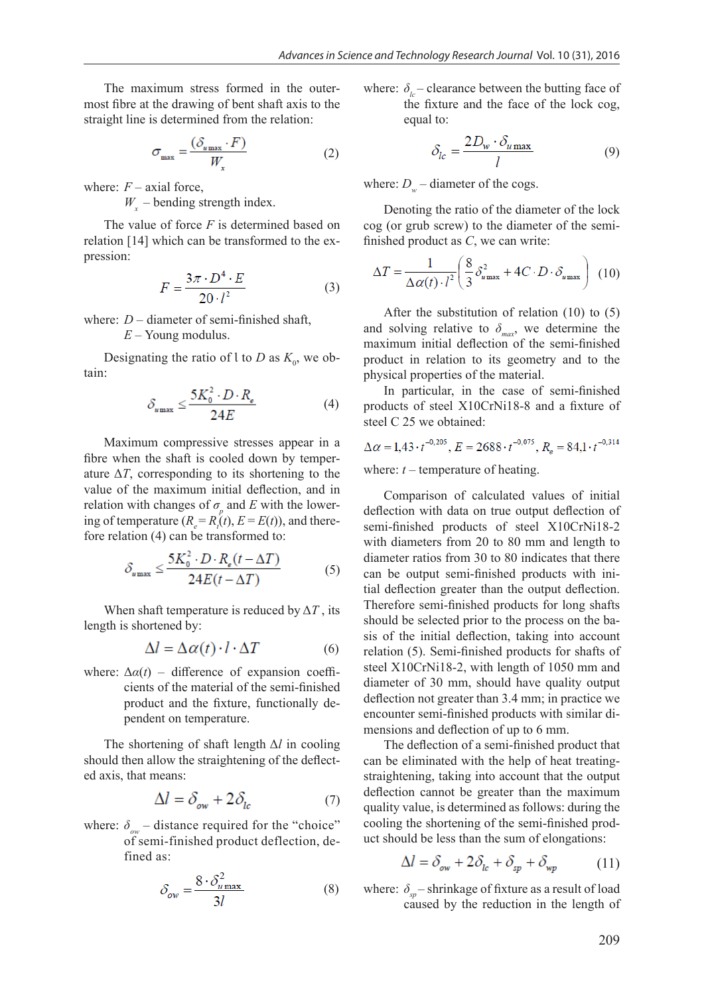The maximum stress formed in the outermost fibre at the drawing of bent shaft axis to the straight line is determined from the relation:

$$
\sigma_{\max} = \frac{(\delta_{u_{\max}} \cdot F)}{W}
$$
 (2)

where:  $F$  – axial force,

 $W_{x}$  – bending strength index.

The value of force *F* is determined based on relation [14] which can be transformed to the expression:

$$
F = \frac{3\pi \cdot D^4 \cdot E}{20 \cdot l^2} \tag{3}
$$

where: *D* – diameter of semi-finished shaft,

*E* – Young modulus.

Designating the ratio of l to *D* as  $K_0$ , we obtain:

$$
\delta_{u_{\max}} \le \frac{5K_0^2 \cdot D \cdot R_e}{24E} \tag{4}
$$

Maximum compressive stresses appear in a fibre when the shaft is cooled down by temperature  $\Delta T$ , corresponding to its shortening to the value of the maximum initial deflection, and in relation with changes of  $\sigma_p$  and *E* with the lowering of temperature  $(R_e = R<sub>i</sub>(t), E = E(t))$ , and therefore relation (4) can be transformed to:

$$
\mathcal{S}_{\text{max}} \le \frac{5K_0^2 \cdot D \cdot R_e(t - \Delta T)}{24E(t - \Delta T)}
$$
(5)

When shaft temperature is reduced by  $\Delta T$ , its length is shortened by:

$$
\Delta l = \Delta \alpha(t) \cdot l \cdot \Delta T \tag{6}
$$

where:  $\Delta \alpha(t)$  – difference of expansion coefficients of the material of the semi-finished product and the fixture, functionally dependent on temperature.

The shortening of shaft length Δ*Ɩ* in cooling should then allow the straightening of the deflected axis, that means:

$$
\Delta l = \delta_{ow} + 2\delta_{lc} \tag{7}
$$

where:  $\delta_{\alpha\nu}$  – distance required for the "choice" of semi-finished product deflection, defined as:

$$
\delta_{ow} = \frac{8 \cdot \delta_{u \max}^2}{3l} \tag{8}
$$

where:  $\delta_{l_c}$  – clearance between the butting face of the fixture and the face of the lock cog, equal to:

$$
\delta_{lc} = \frac{2D_w \cdot \delta_{u \max}}{l} \tag{9}
$$

where:  $D_w$  – diameter of the cogs.

Denoting the ratio of the diameter of the lock cog (or grub screw) to the diameter of the semifinished product as *С*, we can write:

$$
\Delta T = \frac{1}{\Delta \alpha(t) \cdot l^2} \left( \frac{8}{3} \delta_{u_{\text{max}}}^2 + 4C \cdot D \cdot \delta_{u_{\text{max}}} \right) (10)
$$

After the substitution of relation (10) to (5) and solving relative to  $\delta_{\text{max}}$ , we determine the maximum initial deflection of the semi-finished product in relation to its geometry and to the physical properties of the material.

In particular, in the case of semi-finished products of steel X10CrNi18-8 and a fixture of steel C 25 we obtained:

$$
\Delta \alpha = 1.43 \cdot t^{-0.205}
$$
,  $E = 2688 \cdot t^{-0.075}$ ,  $R_e = 84.1 \cdot t^{-0.314}$ 

where:  $t$  – temperature of heating.

Comparison of calculated values of initial deflection with data on true output deflection of semi-finished products of steel X10CrNi18-2 with diameters from 20 to 80 mm and length to diameter ratios from 30 to 80 indicates that there can be output semi-finished products with initial deflection greater than the output deflection. Therefore semi-finished products for long shafts should be selected prior to the process on the basis of the initial deflection, taking into account relation (5). Semi-finished products for shafts of steel X10CrNi18-2, with length of 1050 mm and diameter of 30 mm, should have quality output deflection not greater than 3.4 mm; in practice we encounter semi-finished products with similar dimensions and deflection of up to 6 mm.

The deflection of a semi-finished product that can be eliminated with the help of heat treatingstraightening, taking into account that the output deflection cannot be greater than the maximum quality value, is determined as follows: during the cooling the shortening of the semi-finished product should be less than the sum of elongations:

$$
\Delta l = \delta_{ow} + 2\delta_{lc} + \delta_{sp} + \delta_{wp} \tag{11}
$$

where:  $\delta_{\rm so}$  – shrinkage of fixture as a result of load caused by the reduction in the length of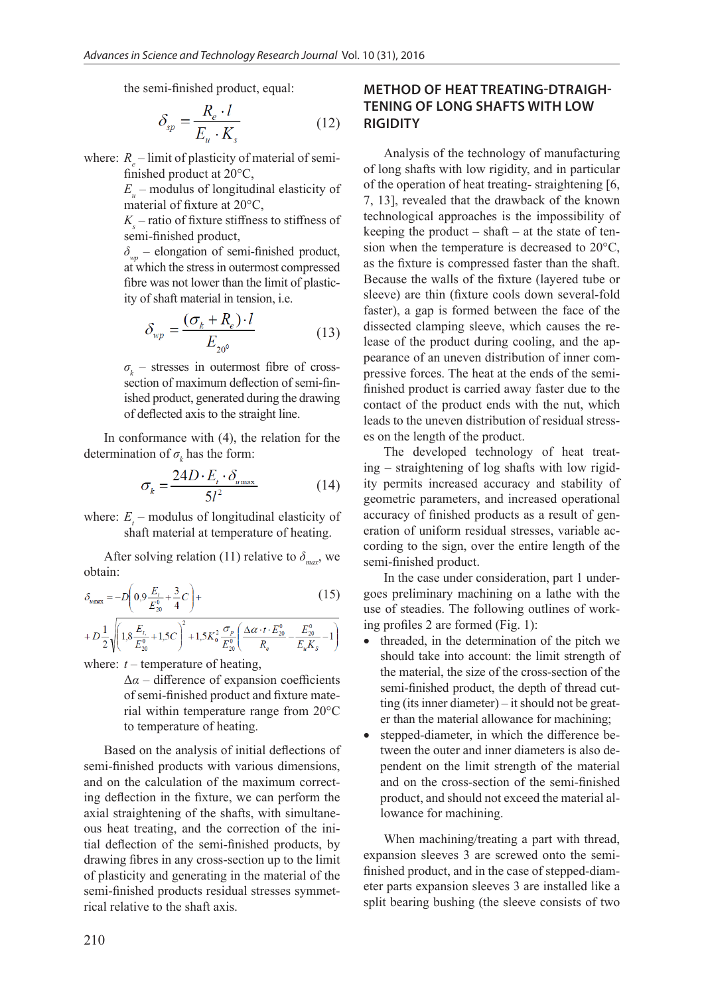the semi-finished product, equal:

$$
\delta_{sp} = \frac{R_e \cdot l}{E_u \cdot K_s} \tag{12}
$$

where:  $R_e$  – limit of plasticity of material of semifinished product at 20°С,

> *Eu* – modulus of longitudinal elasticity of material of fixture at 20°С,

> *Ks* – ratio of fixture stiffness to stiffness of semi-finished product,

> *δwp* – elongation of semi-finished product, at which the stress in outermost compressed fibre was not lower than the limit of plasticity of shaft material in tension, i.e.

$$
\delta_{wp} = \frac{(\sigma_k + R_e) \cdot l}{E_{20^0}} \tag{13}
$$

*σk* – stresses in outermost fibre of crosssection of maximum deflection of semi-finished product, generated during the drawing of deflected axis to the straight line.

In conformance with (4), the relation for the determination of  $\sigma_k$  has the form:

$$
\sigma_k = \frac{24D \cdot E_t \cdot \delta_{u_{\text{max}}}}{5l^2} \tag{14}
$$

where:  $E_t$  – modulus of longitudinal elasticity of shaft material at temperature of heating.

After solving relation (11) relative to  $\delta_{\text{max}}$ , we obtain:

$$
\delta_{\max} = -D\left(0,9\frac{E_t}{E_{20}^0} + \frac{3}{4}C\right) +
$$
\n(15)

$$
+D\frac{1}{2}\sqrt{\left(1,8\frac{E_{t}}{E_{20}^0}+1,5C\right)^2+1,5K_0^2\frac{\sigma_p}{E_{20}^0}\left(\frac{\Delta\alpha\cdot t\cdot E_{20}^0}{R_e}-\frac{E_{20}^0}{E_uK_s}-1\right)}
$$

where:  $t$  – temperature of heating,

 $\Delta\alpha$  – difference of expansion coefficients of semi-finished product and fixture material within temperature range from 20°С to temperature of heating.

Based on the analysis of initial deflections of semi-finished products with various dimensions, and on the calculation of the maximum correcting deflection in the fixture, we can perform the axial straightening of the shafts, with simultaneous heat treating, and the correction of the initial deflection of the semi-finished products, by drawing fibres in any cross-section up to the limit of plasticity and generating in the material of the semi-finished products residual stresses symmetrical relative to the shaft axis.

# **METHOD OF HEAT TREATING-DTRAIGH-TENING OF LONG SHAFTS WITH LOW RIGIDITY**

Analysis of the technology of manufacturing of long shafts with low rigidity, and in particular of the operation of heat treating- straightening [6, 7, 13], revealed that the drawback of the known technological approaches is the impossibility of keeping the product – shaft – at the state of tension when the temperature is decreased to 20°С, as the fixture is compressed faster than the shaft. Because the walls of the fixture (layered tube or sleeve) are thin (fixture cools down several-fold faster), a gap is formed between the face of the dissected clamping sleeve, which causes the release of the product during cooling, and the appearance of an uneven distribution of inner compressive forces. The heat at the ends of the semifinished product is carried away faster due to the contact of the product ends with the nut, which leads to the uneven distribution of residual stresses on the length of the product.

The developed technology of heat treating – straightening of log shafts with low rigidity permits increased accuracy and stability of geometric parameters, and increased operational accuracy of finished products as a result of generation of uniform residual stresses, variable according to the sign, over the entire length of the semi-finished product.

In the case under consideration, part 1 undergoes preliminary machining on a lathe with the use of steadies. The following outlines of working profiles 2 are formed (Fig. 1):

- threaded, in the determination of the pitch we should take into account: the limit strength of the material, the size of the cross-section of the semi-finished product, the depth of thread cutting (its inner diameter) – it should not be greater than the material allowance for machining;
- stepped-diameter, in which the difference between the outer and inner diameters is also dependent on the limit strength of the material and on the cross-section of the semi-finished product, and should not exceed the material allowance for machining.

When machining/treating a part with thread, expansion sleeves 3 are screwed onto the semifinished product, and in the case of stepped-diameter parts expansion sleeves 3 are installed like a split bearing bushing (the sleeve consists of two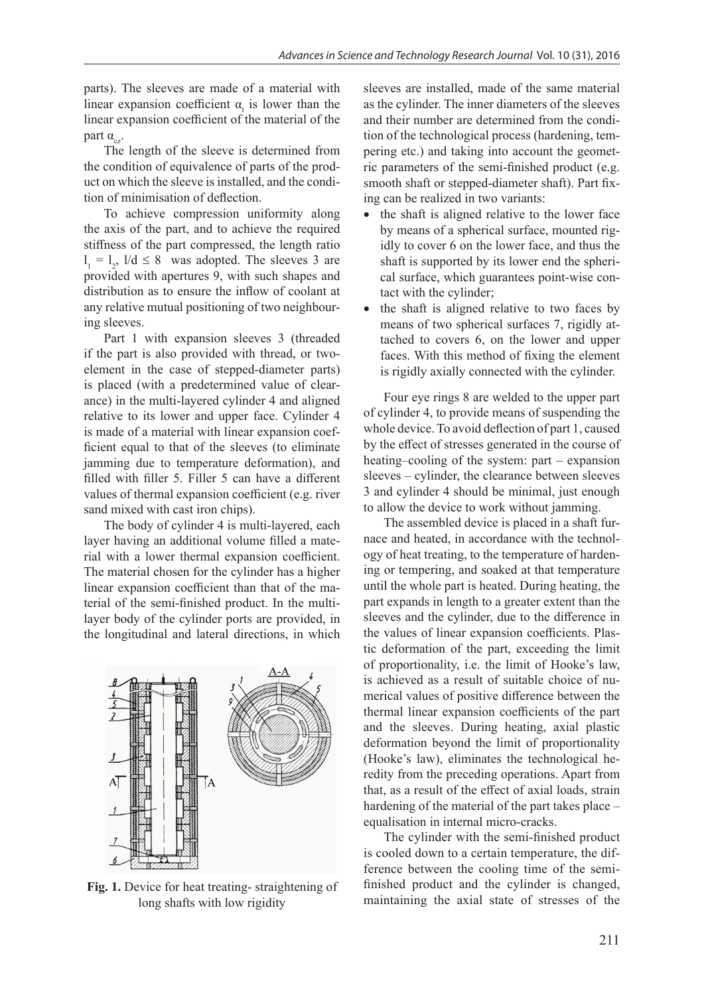parts). The sleeves are made of a material with linear expansion coefficient  $\alpha_t$  is lower than the linear expansion coefficient of the material of the part  $α_2$ .

The length of the sleeve is determined from the condition of equivalence of parts of the product on which the sleeve is installed, and the condition of minimisation of deflection.

To achieve compression uniformity along the axis of the part, and to achieve the required stiffness of the part compressed, the length ratio  $l_1 = l_2$ ,  $1/d \le 8$  was adopted. The sleeves 3 are provided with apertures 9, with such shapes and distribution as to ensure the inflow of coolant at any relative mutual positioning of two neighbouring sleeves.

Part 1 with expansion sleeves 3 (threaded if the part is also provided with thread, or twoelement in the case of stepped-diameter parts) is placed (with a predetermined value of clearance) in the multi-layered cylinder 4 and aligned relative to its lower and upper face. Cylinder 4 is made of a material with linear expansion coefficient equal to that of the sleeves (to eliminate jamming due to temperature deformation), and filled with filler 5. Filler 5 can have a different values of thermal expansion coefficient (e.g. river sand mixed with cast iron chips).

The body of cylinder 4 is multi-layered, each layer having an additional volume filled a material with a lower thermal expansion coefficient. The material chosen for the cylinder has a higher linear expansion coefficient than that of the material of the semi-finished product. In the multilayer body of the cylinder ports are provided, in the longitudinal and lateral directions, in which



**Fig. 1.** Device for heat treating- straightening of long shafts with low rigidity

sleeves are installed, made of the same material as the cylinder. The inner diameters of the sleeves and their number are determined from the condition of the technological process (hardening, tempering etc.) and taking into account the geometric parameters of the semi-finished product (e.g. smooth shaft or stepped-diameter shaft). Part fixing can be realized in two variants:

- the shaft is aligned relative to the lower face by means of a spherical surface, mounted rigidly to cover 6 on the lower face, and thus the shaft is supported by its lower end the spherical surface, which guarantees point-wise contact with the cylinder;
- the shaft is aligned relative to two faces by means of two spherical surfaces 7, rigidly attached to covers 6, on the lower and upper faces. With this method of fixing the element is rigidly axially connected with the cylinder.

Four eye rings 8 are welded to the upper part of cylinder 4, to provide means of suspending the whole device. To avoid deflection of part 1, caused by the effect of stresses generated in the course of heating–cooling of the system: part – expansion sleeves – cylinder, the clearance between sleeves 3 and cylinder 4 should be minimal, just enough to allow the device to work without jamming.

The assembled device is placed in a shaft furnace and heated, in accordance with the technology of heat treating, to the temperature of hardening or tempering, and soaked at that temperature until the whole part is heated. During heating, the part expands in length to a greater extent than the sleeves and the cylinder, due to the difference in the values of linear expansion coefficients. Plastic deformation of the part, exceeding the limit of proportionality, i.e. the limit of Hooke's law, is achieved as a result of suitable choice of numerical values of positive difference between the thermal linear expansion coefficients of the part and the sleeves. During heating, axial plastic deformation beyond the limit of proportionality (Hooke's law), eliminates the technological heredity from the preceding operations. Apart from that, as a result of the effect of axial loads, strain hardening of the material of the part takes place – equalisation in internal micro-cracks.

The cylinder with the semi-finished product is cooled down to a certain temperature, the difference between the cooling time of the semifinished product and the cylinder is changed, maintaining the axial state of stresses of the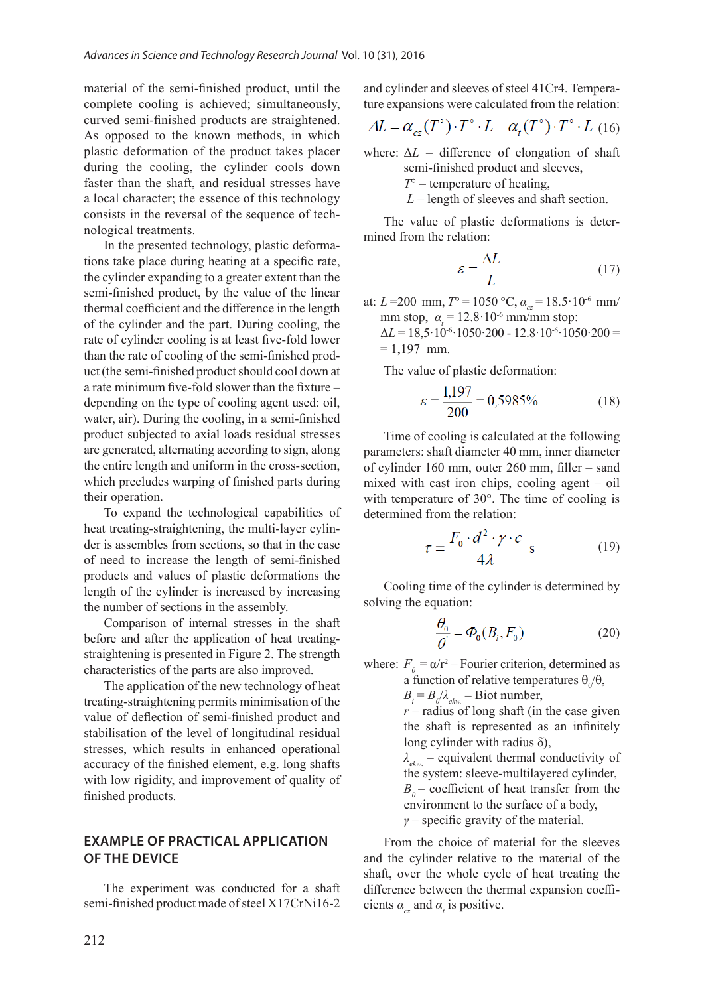material of the semi-finished product, until the complete cooling is achieved; simultaneously, curved semi-finished products are straightened. As opposed to the known methods, in which plastic deformation of the product takes placer during the cooling, the cylinder cools down faster than the shaft, and residual stresses have a local character; the essence of this technology consists in the reversal of the sequence of technological treatments.

In the presented technology, plastic deformations take place during heating at a specific rate, the cylinder expanding to a greater extent than the semi-finished product, by the value of the linear thermal coefficient and the difference in the length of the cylinder and the part. During cooling, the rate of cylinder cooling is at least five-fold lower than the rate of cooling of the semi-finished product (the semi-finished product should cool down at a rate minimum five-fold slower than the fixture – depending on the type of cooling agent used: oil, water, air). During the cooling, in a semi-finished product subjected to axial loads residual stresses are generated, alternating according to sign, along the entire length and uniform in the cross-section, which precludes warping of finished parts during their operation.

To expand the technological capabilities of heat treating-straightening, the multi-layer cylinder is assembles from sections, so that in the case of need to increase the length of semi-finished products and values of plastic deformations the length of the cylinder is increased by increasing the number of sections in the assembly.

Comparison of internal stresses in the shaft before and after the application of heat treatingstraightening is presented in Figure 2. The strength characteristics of the parts are also improved.

The application of the new technology of heat treating-straightening permits minimisation of the value of deflection of semi-finished product and stabilisation of the level of longitudinal residual stresses, which results in enhanced operational accuracy of the finished element, e.g. long shafts with low rigidity, and improvement of quality of finished products.

## **EXAMPLE OF PRACTICAL APPLICATION OF THE DEVICE**

The experiment was conducted for a shaft semi-finished product made of steel X17CrNi16-2

and cylinder and sleeves of steel 41Cr4. Temperature expansions were calculated from the relation:

$$
\Delta L = \alpha_{cz}(T^{\circ}) \cdot T^{\circ} \cdot L - \alpha_t(T^{\circ}) \cdot T^{\circ} \cdot L
$$
 (16)

where:  $\Delta L$  – difference of elongation of shaft semi-finished product and sleeves,

- *T*° temperature of heating,
- *L* length of sleeves and shaft section.

The value of plastic deformations is determined from the relation:

$$
\varepsilon = \frac{\Delta L}{L} \tag{17}
$$

at:  $L = 200$  mm,  $T^{\circ} = 1050^{\circ}$ C,  $\alpha_{cr} = 18.5 \cdot 10^{-6}$  mm/ mm stop,  $\alpha_t = 12.8 \cdot 10^{-6}$  mm/mm stop:

 $\Delta L = 18,5.10^{-6} \cdot 1050.200 - 12.8 \cdot 10^{-6} \cdot 1050.200 =$  $= 1.197$  mm.

The value of plastic deformation:

$$
\varepsilon = \frac{1,197}{200} = 0,5985\% \tag{18}
$$

Time of cooling is calculated at the following parameters: shaft diameter 40 mm, inner diameter of cylinder 160 mm, outer 260 mm, filler – sand mixed with cast iron chips, cooling agent – oil with temperature of 30°. The time of cooling is determined from the relation:

$$
\tau = \frac{F_0 \cdot d^2 \cdot \gamma \cdot c}{4\lambda} \text{ s} \tag{19}
$$

Cooling time of the cylinder is determined by solving the equation:

$$
\frac{\theta_0}{\theta} = \Phi_0(B_i, F_0) \tag{20}
$$

where:  $F_0 = \alpha/r^2$  – Fourier criterion, determined as a function of relative temperatures  $\theta_0/\theta$ ,

 $B_i = B_0 / \lambda_{ekw}$ . – Biot number,  $r$  – radius of long shaft (in the case given

the shaft is represented as an infinitely long cylinder with radius  $\delta$ ),

*λekw*. – equivalent thermal conductivity of the system: sleeve-multilayered cylinder,  $B<sub>o</sub>$  – coefficient of heat transfer from the environment to the surface of a body, *γ* – specific gravity of the material.

From the choice of material for the sleeves and the cylinder relative to the material of the shaft, over the whole cycle of heat treating the difference between the thermal expansion coefficients  $\alpha_{cz}$  and  $\alpha_t$  is positive.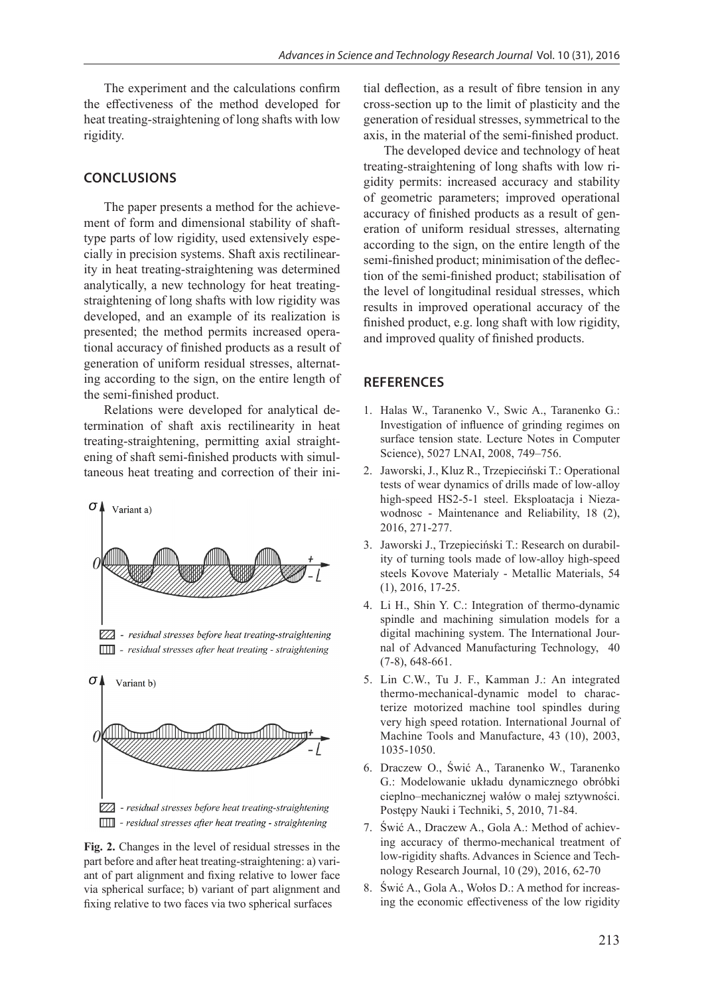The experiment and the calculations confirm the effectiveness of the method developed for heat treating-straightening of long shafts with low rigidity.

## **CONCLUSIONS**

The paper presents a method for the achievement of form and dimensional stability of shafttype parts of low rigidity, used extensively especially in precision systems. Shaft axis rectilinearity in heat treating-straightening was determined analytically, a new technology for heat treatingstraightening of long shafts with low rigidity was developed, and an example of its realization is presented; the method permits increased operational accuracy of finished products as a result of generation of uniform residual stresses, alternating according to the sign, on the entire length of the semi-finished product.

Relations were developed for analytical determination of shaft axis rectilinearity in heat treating-straightening, permitting axial straightening of shaft semi-finished products with simultaneous heat treating and correction of their ini-



**Fig. 2.** Changes in the level of residual stresses in the part before and after heat treating-straightening: a) variant of part alignment and fixing relative to lower face via spherical surface; b) variant of part alignment and fixing relative to two faces via two spherical surfaces

tial deflection, as a result of fibre tension in any cross-section up to the limit of plasticity and the generation of residual stresses, symmetrical to the axis, in the material of the semi-finished product.

The developed device and technology of heat treating-straightening of long shafts with low rigidity permits: increased accuracy and stability of geometric parameters; improved operational accuracy of finished products as a result of generation of uniform residual stresses, alternating according to the sign, on the entire length of the semi-finished product; minimisation of the deflection of the semi-finished product; stabilisation of the level of longitudinal residual stresses, which results in improved operational accuracy of the finished product, e.g. long shaft with low rigidity, and improved quality of finished products.

## **REFERENCES**

- 1. Halas W., Taranenko V., Swic A., Taranenko G.: Investigation of influence of grinding regimes on surface tension state. Lecture Notes in Computer Science), 5027 LNAI, 2008, 749–756.
- 2. Jaworski, J., Kluz R., Trzepieciński T.: Operational tests of wear dynamics of drills made of low-alloy high-speed HS2-5-1 steel. Eksploatacja i Niezawodnosc - Maintenance and Reliability, 18 (2), 2016, 271-277.
- 3. Jaworski J., Trzepieciński T.: Research on durability of turning tools made of low-alloy high-speed steels Kovove Materialy - Metallic Materials, 54 (1), 2016, 17-25.
- 4. Li H., Shin Y. C.: Integration of thermo-dynamic spindle and machining simulation models for a digital machining system. The International Journal of Advanced Manufacturing Technology, 40 (7-8), 648-661.
- 5. Lin C.W., Tu J. F., Kamman J.: An integrated thermo-mechanical-dynamic model to characterize motorized machine tool spindles during very high speed rotation. International Journal of Machine Tools and Manufacture, 43 (10), 2003, 1035-1050.
- 6. Draczew O., Świć A., Taranenko W., Taranenko G.: Modelowanie układu dynamicznego obróbki cieplno–mechanicznej wałów o małej sztywności. Postępy Nauki i Techniki, 5, 2010, 71-84.
- 7. Świć A., Draczew A., Gola A.: Method of achieving accuracy of thermo-mechanical treatment of low-rigidity shafts. Advances in Science and Technology Research Journal, 10 (29), 2016, 62-70
- 8. Świć A., Gola A., Wołos D.: A method for increasing the economic effectiveness of the low rigidity